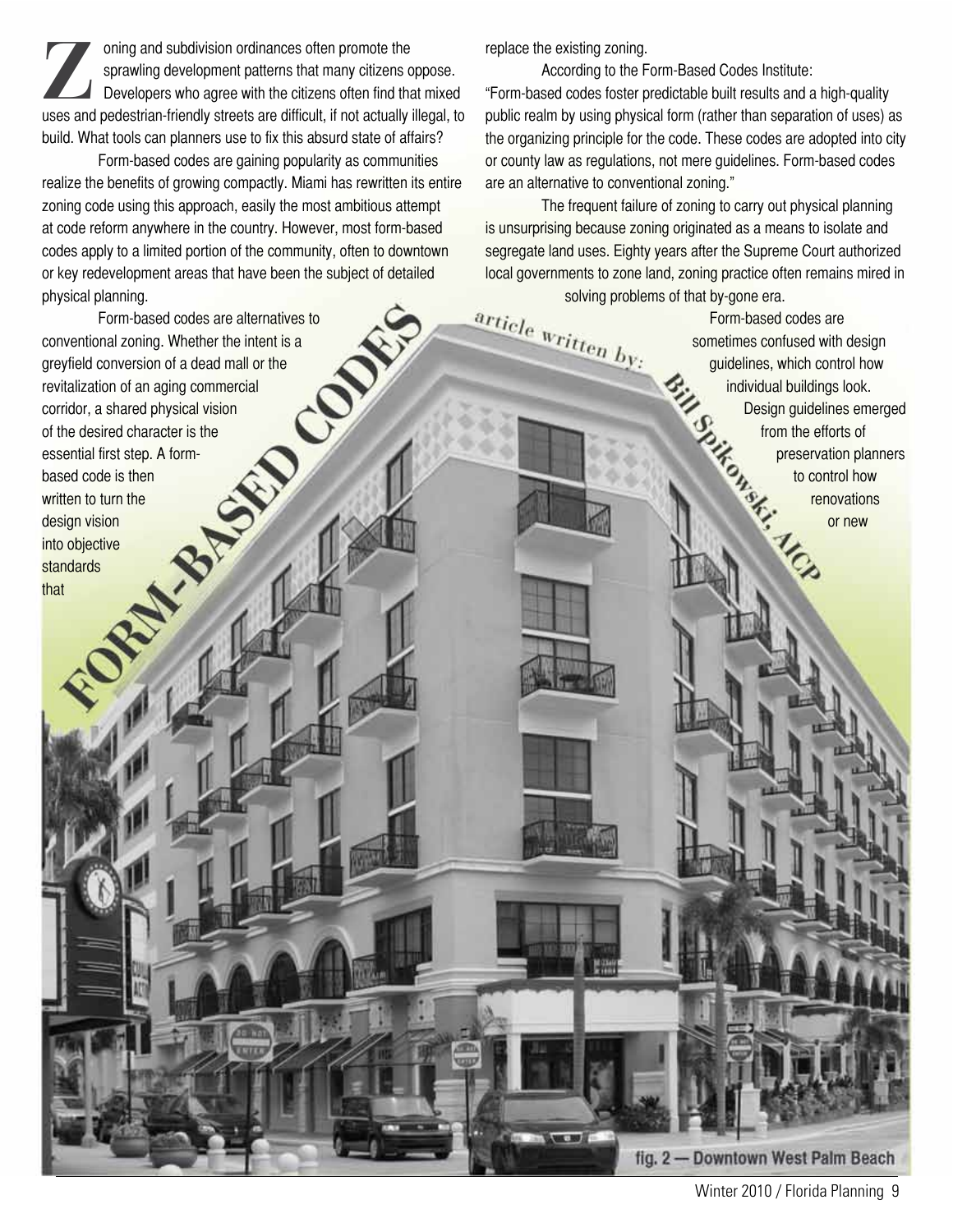oning and subdivision ordinances often promote the<br>sprawling development patterns that many citizens of<br>Developers who agree with the citizens often find the<br>uses and podestrian friendly streats are difficult, if not actua sprawling development patterns that many citizens oppose. Developers who agree with the citizens often find that mixed uses and pedestrian-friendly streets are difficult, if not actually illegal, to build. What tools can planners use to fix this absurd state of affairs?

Form-based codes are gaining popularity as communities realize the benefits of growing compactly. Miami has rewritten its entire zoning code using this approach, easily the most ambitious attempt at code reform anywhere in the country. However, most form-based codes apply to a limited portion of the community, often to downtown or key redevelopment areas that have been the subject of detailed physical planning.

Form-based codes are alternatives to conventional zoning. Whether the intent is a<br>greyfield conversion of a dead mall or the<br>revitalization of an aging commercial<br>corridor, a shared physical vision<br>of the desired character is the<br>essential firet greyfield conversion of a dead mall or the revitalization of an aging commercial corridor, a shared physical vision of the desired character is the<br>of the desired character is the<br>essential first step. A form-<br>based code is then<br>written to turn the<br>design vision<br>into objective<br>standards<br>that essential first step. A formbased code is then written to turn the design vision into objective standards

that

replace the existing zoning.

According to the Form-Based Codes Institute: "Form-based codes foster predictable built results and a high-quality public realm by using physical form (rather than separation of uses) as the organizing principle for the code. These codes are adopted into city or county law as regulations, not mere guidelines. Form-based codes are an alternative to conventional zoning."

The frequent failure of zoning to carry out physical planning is unsurprising because zoning originated as a means to isolate and segregate land uses. Eighty years after the Supreme Court authorized local governments to zone land, zoning practice often remains mired in

solving problems of that by-gone era.<br>Form-based ( $\frac{array}{10}$ <br>sometimes confidences of that by-gone era.<br>sometimes confidences, w Form-based codes are sometimes confused with design<br>guidelines, which control how<br>individual buildings look.<br>Design guidelines emerg<br>from the efforts of<br>preservation plann<br>to control how<br>renovations<br>or new guidelines, which control how individual buildings look. Design guidelines emerged from the efforts of preservation planners to control how renovations or new

fig. 2 - Downtown West Palm Beach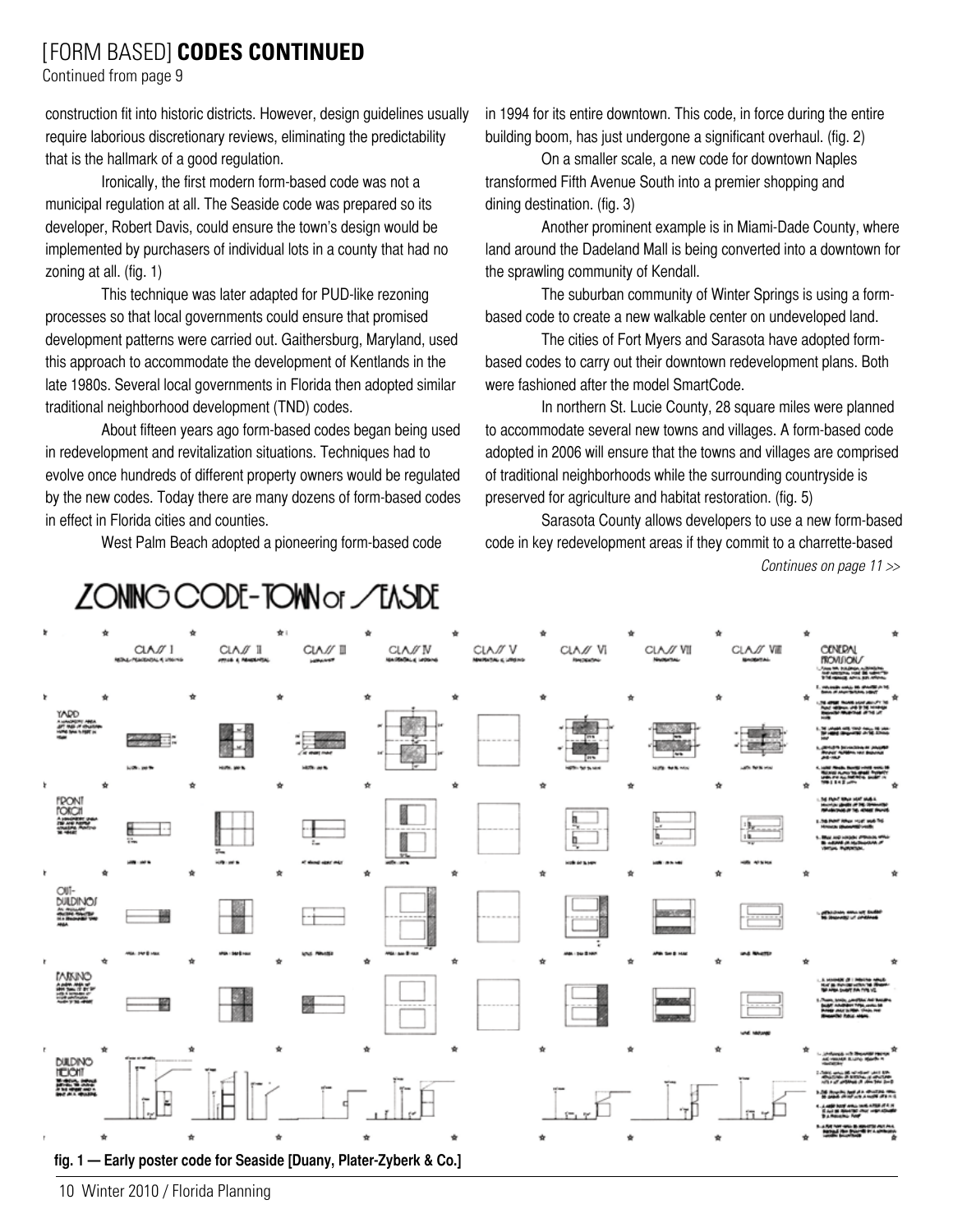## [FORM BASED] **CODES CONTINUED**

Continued from page 9

construction fit into historic districts. However, design guidelines usually require laborious discretionary reviews, eliminating the predictability that is the hallmark of a good regulation.

Ironically, the first modern form-based code was not a municipal regulation at all. The Seaside code was prepared so its developer, Robert Davis, could ensure the town's design would be implemented by purchasers of individual lots in a county that had no zoning at all. (fig. 1)

This technique was later adapted for PUD-like rezoning processes so that local governments could ensure that promised development patterns were carried out. Gaithersburg, Maryland, used this approach to accommodate the development of Kentlands in the late 1980s. Several local governments in Florida then adopted similar traditional neighborhood development (TND) codes.

About fifteen years ago form-based codes began being used in redevelopment and revitalization situations. Techniques had to evolve once hundreds of different property owners would be regulated by the new codes. Today there are many dozens of form-based codes in effect in Florida cities and counties.

West Palm Beach adopted a pioneering form-based code

in 1994 for its entire downtown. This code, in force during the entire building boom, has just undergone a significant overhaul. (fig. 2)

On a smaller scale, a new code for downtown Naples transformed Fifth Avenue South into a premier shopping and dining destination. (fig. 3)

Another prominent example is in Miami-Dade County, where land around the Dadeland Mall is being converted into a downtown for the sprawling community of Kendall.

The suburban community of Winter Springs is using a formbased code to create a new walkable center on undeveloped land.

The cities of Fort Myers and Sarasota have adopted formbased codes to carry out their downtown redevelopment plans. Both were fashioned after the model SmartCode.

In northern St. Lucie County, 28 square miles were planned to accommodate several new towns and villages. A form-based code adopted in 2006 will ensure that the towns and villages are comprised of traditional neighborhoods while the surrounding countryside is preserved for agriculture and habitat restoration. (fig. 5)

Sarasota County allows developers to use a new form-based code in key redevelopment areas if they commit to a charrette-based *Continues on page 11 >>*